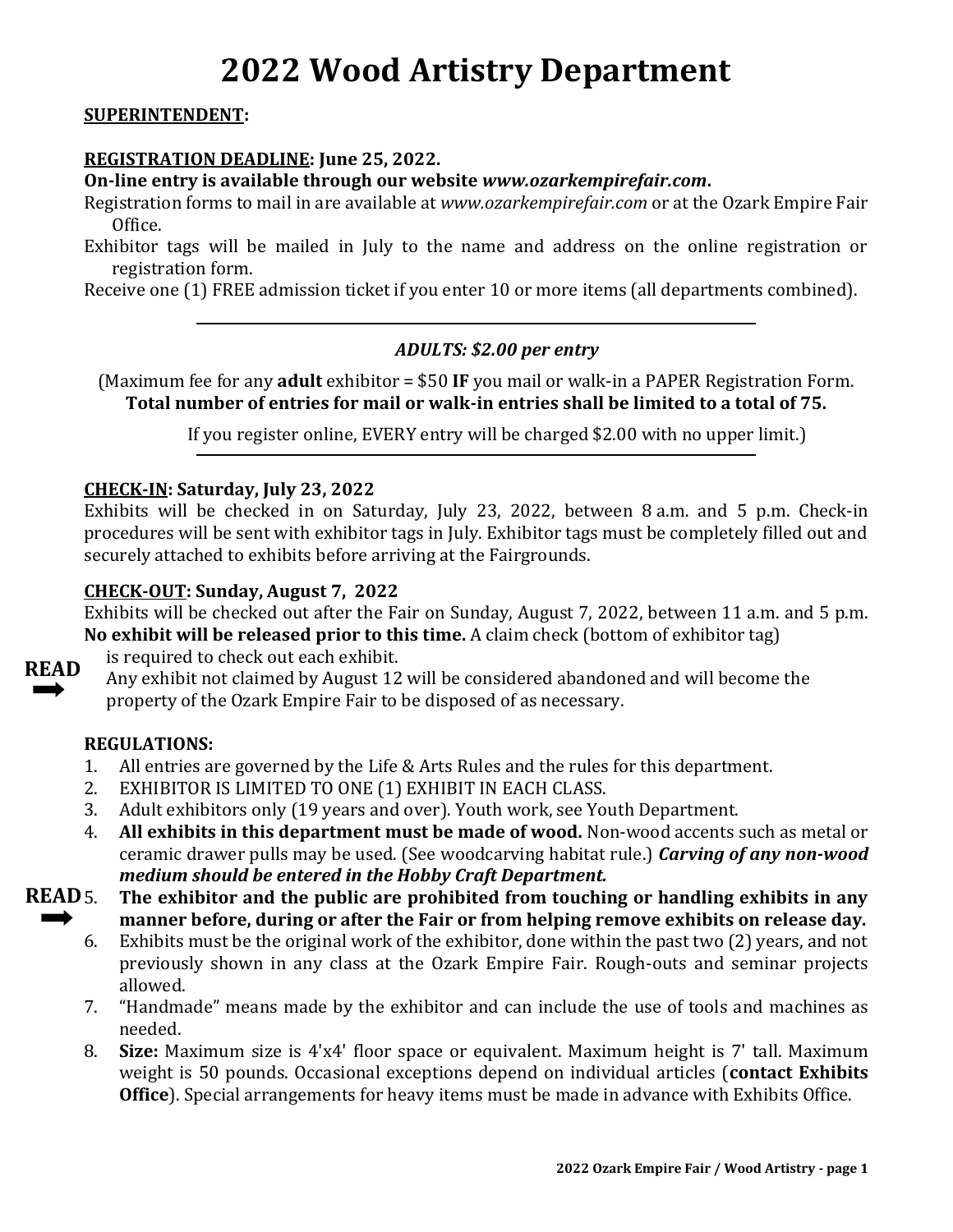# **2022 Wood Artistry Department**

#### **SUPERINTENDENT:**

#### **REGISTRATION DEADLINE: June 25, 2022.**

**On-line entry is available through our website** *www.ozarkempirefair.com***.**

Registration forms to mail in are available at *www.ozarkempirefair.com* or at the Ozark Empire Fair Office.

Exhibitor tags will be mailed in July to the name and address on the online registration or registration form.

Receive one (1) FREE admission ticket if you enter 10 or more items (all departments combined).

#### *ADULTS: \$2.00 per entry*

(Maximum fee for any **adult** exhibitor = \$50 **IF** you mail or walk-in a PAPER Registration Form. **Total number of entries for mail or walk-in entries shall be limited to a total of 75.**

If you register online, EVERY entry will be charged \$2.00 with no upper limit.)

#### **CHECK-IN: Saturday, July 23, 2022**

Exhibits will be checked in on Saturday, July 23, 2022, between 8 a.m. and 5 p.m. Check-in procedures will be sent with exhibitor tags in July. Exhibitor tags must be completely filled out and securely attached to exhibits before arriving at the Fairgrounds.

#### **CHECK-OUT: Sunday, August 7, 2022**

Exhibits will be checked out after the Fair on Sunday, August 7, 2022, between 11 a.m. and 5 p.m. **No exhibit will be released prior to this time.** A claim check (bottom of exhibitor tag) is required to check out each exhibit.



Any exhibit not claimed by August 12 will be considered abandoned and will become the property of the Ozark Empire Fair to be disposed of as necessary.

### **REGULATIONS:**

- 1. All entries are governed by the Life & Arts Rules and the rules for this department.
- 2. EXHIBITOR IS LIMITED TO ONE (1) EXHIBIT IN EACH CLASS.
- 3. Adult exhibitors only (19 years and over). Youth work, see Youth Department.
- 4. **All exhibits in this department must be made of wood.** Non-wood accents such as metal or ceramic drawer pulls may be used. (See woodcarving habitat rule.) *Carving of any non-wood medium should be entered in the Hobby Craft Department.*

5. **The exhibitor and the public are prohibited from touching or handling exhibits in any manner before, during or after the Fair or from helping remove exhibits on release day. READ** 5.

- 6. Exhibits must be the original work of the exhibitor, done within the past two (2) years, and not previously shown in any class at the Ozark Empire Fair. Rough-outs and seminar projects allowed.
- 7. "Handmade" means made by the exhibitor and can include the use of tools and machines as needed.
- 8. **Size:** Maximum size is 4'x4' floor space or equivalent. Maximum height is 7' tall. Maximum weight is 50 pounds. Occasional exceptions depend on individual articles (**contact Exhibits Office**). Special arrangements for heavy items must be made in advance with Exhibits Office.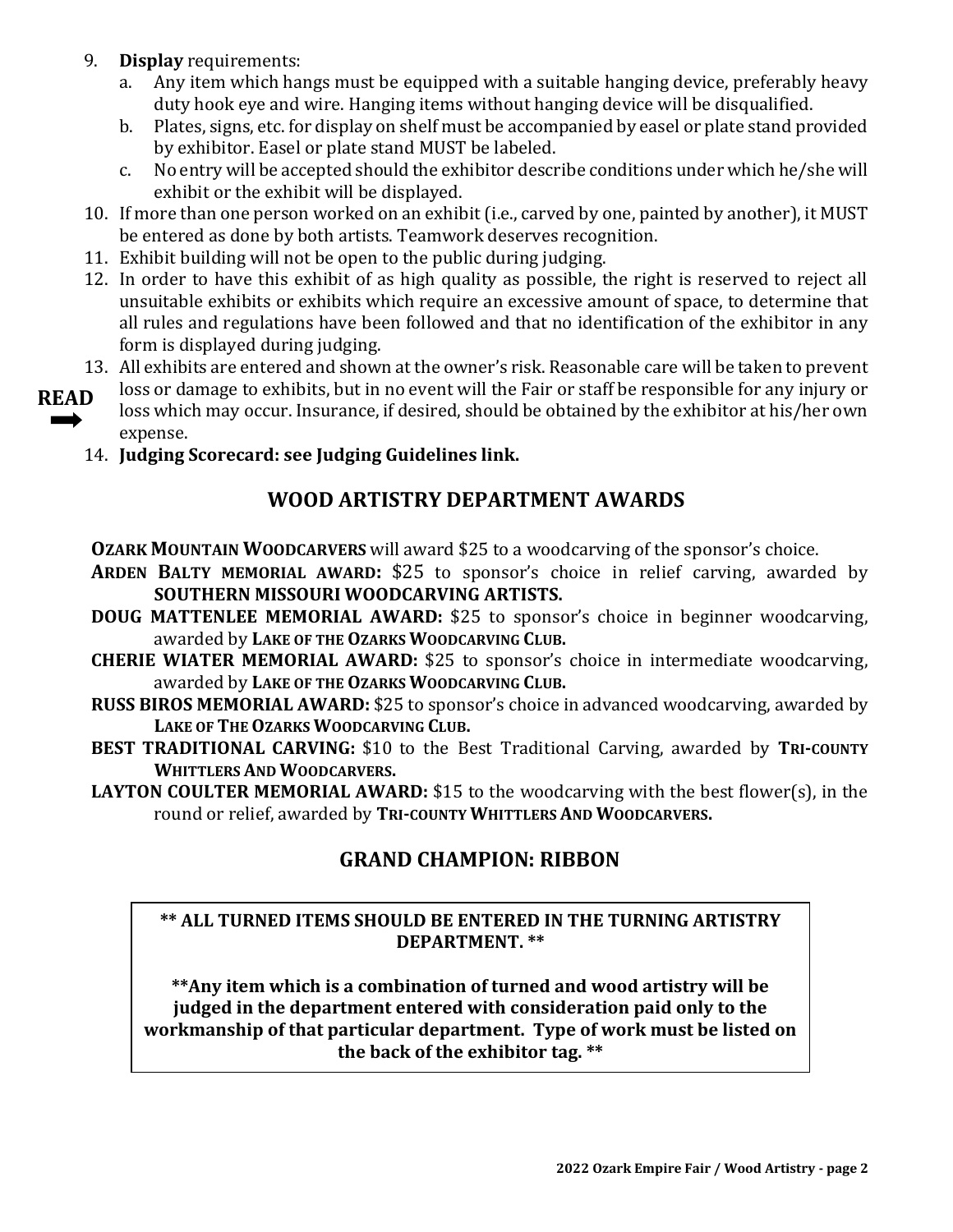- 9. **Display** requirements:
	- a. Any item which hangs must be equipped with a suitable hanging device, preferably heavy duty hook eye and wire. Hanging items without hanging device will be disqualified.
	- b. Plates, signs, etc. for display on shelf must be accompanied by easel or plate stand provided by exhibitor. Easel or plate stand MUST be labeled.
	- c. No entry will be accepted should the exhibitor describe conditions under which he/she will exhibit or the exhibit will be displayed.
- 10. If more than one person worked on an exhibit (i.e., carved by one, painted by another), it MUST be entered as done by both artists. Teamwork deserves recognition.
- 11. Exhibit building will not be open to the public during judging.
- 12. In order to have this exhibit of as high quality as possible, the right is reserved to reject all unsuitable exhibits or exhibits which require an excessive amount of space, to determine that all rules and regulations have been followed and that no identification of the exhibitor in any form is displayed during judging.
- 13. All exhibits are entered and shown at the owner's risk. Reasonable care will be taken to prevent
- loss or damage to exhibits, but in no event will the Fair or staff be responsible for any injury or loss which may occur. Insurance, if desired, should be obtained by the exhibitor at his/her own expense. **READ** 
	- 14. **Judging Scorecard: see Judging Guidelines link.**

# **WOOD ARTISTRY DEPARTMENT AWARDS**

**OZARK MOUNTAIN WOODCARVERS** will award \$25 to a woodcarving of the sponsor's choice.

- **ARDEN BALTY MEMORIAL AWARD:** \$25 to sponsor's choice in relief carving, awarded by **SOUTHERN MISSOURI WOODCARVING ARTISTS.**
- **DOUG MATTENLEE MEMORIAL AWARD:** \$25 to sponsor's choice in beginner woodcarving, awarded by **LAKE OF THE OZARKS WOODCARVING CLUB.**
- **CHERIE WIATER MEMORIAL AWARD:** \$25 to sponsor's choice in intermediate woodcarving, awarded by **LAKE OF THE OZARKS WOODCARVING CLUB.**
- **RUSS BIROS MEMORIAL AWARD:** \$25 to sponsor's choice in advanced woodcarving, awarded by **LAKE OF THE OZARKS WOODCARVING CLUB.**
- **BEST TRADITIONAL CARVING:** \$10 to the Best Traditional Carving, awarded by **TRI-COUNTY WHITTLERS AND WOODCARVERS.**
- **LAYTON COULTER MEMORIAL AWARD:** \$15 to the woodcarving with the best flower(s), in the round or relief, awarded by **TRI-COUNTY WHITTLERS AND WOODCARVERS.**

# **GRAND CHAMPION: RIBBON**

### **\*\* ALL TURNED ITEMS SHOULD BE ENTERED IN THE TURNING ARTISTRY DEPARTMENT. \*\***

**\*\*Any item which is a combination of turned and wood artistry will be judged in the department entered with consideration paid only to the workmanship of that particular department. Type of work must be listed on the back of the exhibitor tag. \*\***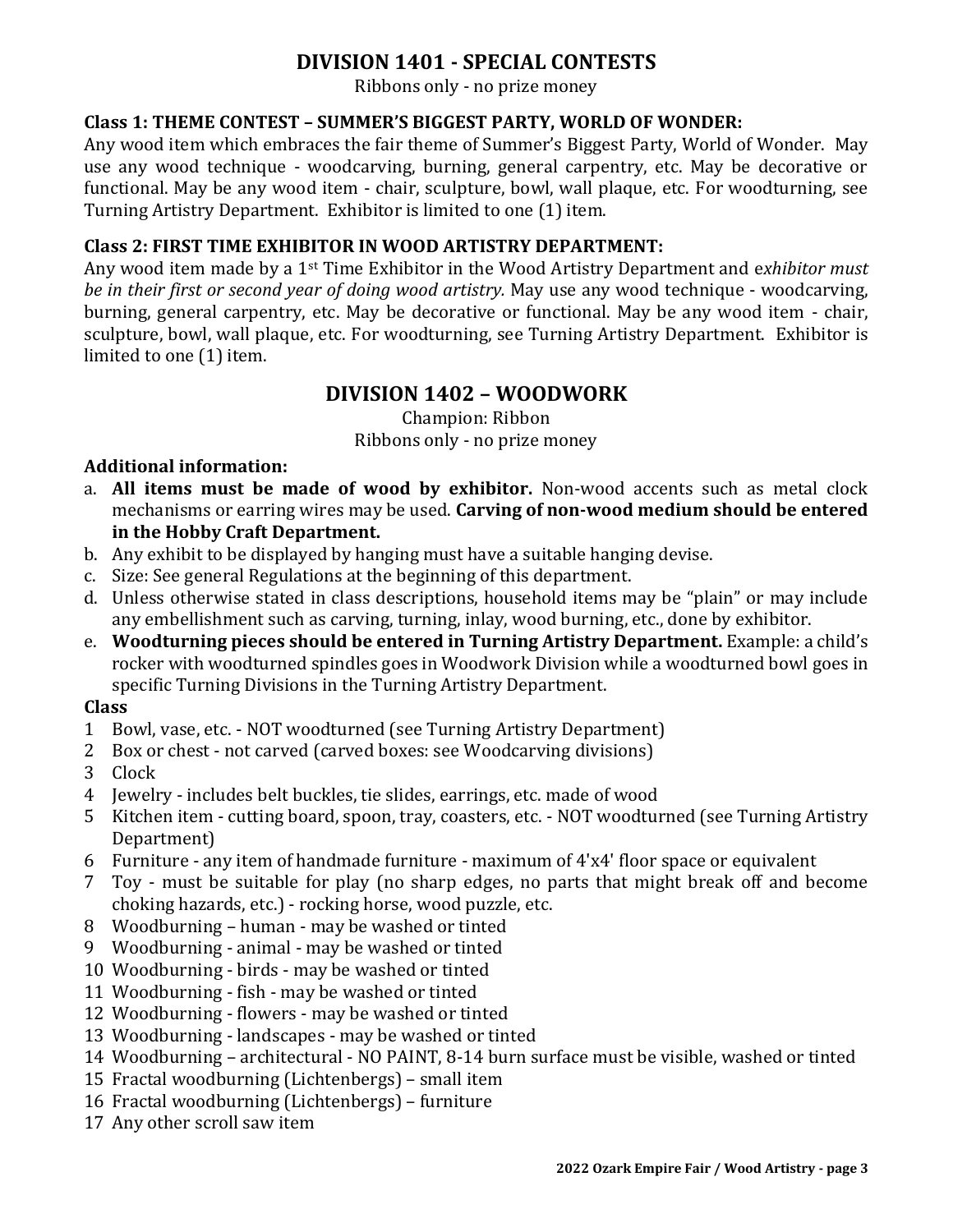# **DIVISION 1401 - SPECIAL CONTESTS**

Ribbons only - no prize money

### **Class 1: THEME CONTEST – SUMMER'S BIGGEST PARTY, WORLD OF WONDER:**

Any wood item which embraces the fair theme of Summer's Biggest Party, World of Wonder. May use any wood technique - woodcarving, burning, general carpentry, etc. May be decorative or functional. May be any wood item - chair, sculpture, bowl, wall plaque, etc. For woodturning, see Turning Artistry Department. Exhibitor is limited to one (1) item.

### **Class 2: FIRST TIME EXHIBITOR IN WOOD ARTISTRY DEPARTMENT:**

Any wood item made by a 1st Time Exhibitor in the Wood Artistry Department and e*xhibitor must be in their first or second year of doing wood artistry.* May use any wood technique - woodcarving, burning, general carpentry, etc. May be decorative or functional. May be any wood item - chair, sculpture, bowl, wall plaque, etc. For woodturning, see Turning Artistry Department. Exhibitor is limited to one (1) item.

# **DIVISION 1402 – WOODWORK**

Champion: Ribbon Ribbons only - no prize money

### **Additional information:**

- a. **All items must be made of wood by exhibitor.** Non-wood accents such as metal clock mechanisms or earring wires may be used. **Carving of non-wood medium should be entered in the Hobby Craft Department.**
- b. Any exhibit to be displayed by hanging must have a suitable hanging devise.
- c. Size: See general Regulations at the beginning of this department.
- d. Unless otherwise stated in class descriptions, household items may be "plain" or may include any embellishment such as carving, turning, inlay, wood burning, etc., done by exhibitor.
- e. **Woodturning pieces should be entered in Turning Artistry Department.** Example: a child's rocker with woodturned spindles goes in Woodwork Division while a woodturned bowl goes in specific Turning Divisions in the Turning Artistry Department.

- 1 Bowl, vase, etc. NOT woodturned (see Turning Artistry Department)
- 2 Box or chest not carved (carved boxes: see Woodcarving divisions)
- 3 Clock
- 4 Jewelry includes belt buckles, tie slides, earrings, etc. made of wood
- 5 Kitchen item cutting board, spoon, tray, coasters, etc. NOT woodturned (see Turning Artistry Department)
- 6 Furniture any item of handmade furniture maximum of 4'x4' floor space or equivalent
- 7 Toy must be suitable for play (no sharp edges, no parts that might break off and become choking hazards, etc.) - rocking horse, wood puzzle, etc.
- 8 Woodburning human may be washed or tinted
- 9 Woodburning animal may be washed or tinted
- 10 Woodburning birds may be washed or tinted
- 11 Woodburning fish may be washed or tinted
- 12 Woodburning flowers may be washed or tinted
- 13 Woodburning landscapes may be washed or tinted
- 14 Woodburning architectural NO PAINT, 8-14 burn surface must be visible, washed or tinted
- 15 Fractal woodburning (Lichtenbergs) small item
- 16 Fractal woodburning (Lichtenbergs) furniture
- 17 Any other scroll saw item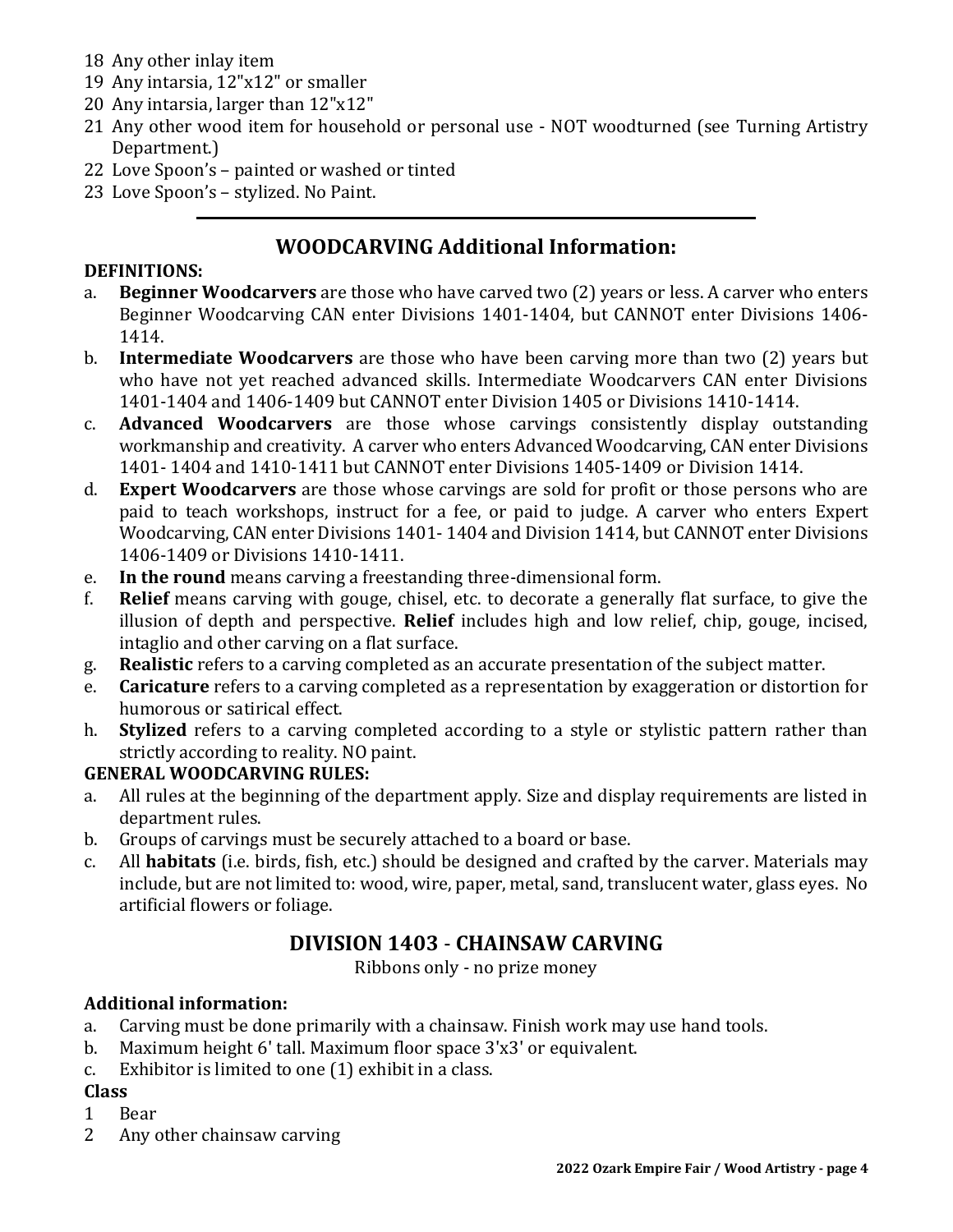- 18 Any other inlay item
- 19 Any intarsia, 12"x12" or smaller
- 20 Any intarsia, larger than 12"x12"
- 21 Any other wood item for household or personal use NOT woodturned (see Turning Artistry Department.)
- 22 Love Spoon's painted or washed or tinted
- 23 Love Spoon's stylized. No Paint.

# **WOODCARVING Additional Information:**

### **DEFINITIONS:**

- a. **Beginner Woodcarvers** are those who have carved two (2) years or less. A carver who enters Beginner Woodcarving CAN enter Divisions 1401-1404, but CANNOT enter Divisions 1406- 1414.
- b. **Intermediate Woodcarvers** are those who have been carving more than two (2) years but who have not yet reached advanced skills. Intermediate Woodcarvers CAN enter Divisions 1401-1404 and 1406-1409 but CANNOT enter Division 1405 or Divisions 1410-1414.
- c. **Advanced Woodcarvers** are those whose carvings consistently display outstanding workmanship and creativity. A carver who enters Advanced Woodcarving, CAN enter Divisions 1401- 1404 and 1410-1411 but CANNOT enter Divisions 1405-1409 or Division 1414.
- d. **Expert Woodcarvers** are those whose carvings are sold for profit or those persons who are paid to teach workshops, instruct for a fee, or paid to judge. A carver who enters Expert Woodcarving, CAN enter Divisions 1401- 1404 and Division 1414, but CANNOT enter Divisions 1406-1409 or Divisions 1410-1411.
- e. **In the round** means carving a freestanding three-dimensional form.
- f. **Relief** means carving with gouge, chisel, etc. to decorate a generally flat surface, to give the illusion of depth and perspective. **Relief** includes high and low relief, chip, gouge, incised, intaglio and other carving on a flat surface.
- g. **Realistic** refers to a carving completed as an accurate presentation of the subject matter.
- e. **Caricature** refers to a carving completed as a representation by exaggeration or distortion for humorous or satirical effect.
- h. **Stylized** refers to a carving completed according to a style or stylistic pattern rather than strictly according to reality. NO paint.

# **GENERAL WOODCARVING RULES:**

- a. All rules at the beginning of the department apply. Size and display requirements are listed in department rules.
- b. Groups of carvings must be securely attached to a board or base.
- c. All **habitats** (i.e. birds, fish, etc.) should be designed and crafted by the carver. Materials may include, but are not limited to: wood, wire, paper, metal, sand, translucent water, glass eyes. No artificial flowers or foliage.

# **DIVISION 1403** - **CHAINSAW CARVING**

Ribbons only - no prize money

# **Additional information:**

- a. Carving must be done primarily with a chainsaw. Finish work may use hand tools.
- b. Maximum height 6' tall. Maximum floor space 3'x3' or equivalent.
- c. Exhibitor is limited to one (1) exhibit in a class.

- 1 Bear
- 2 Any other chainsaw carving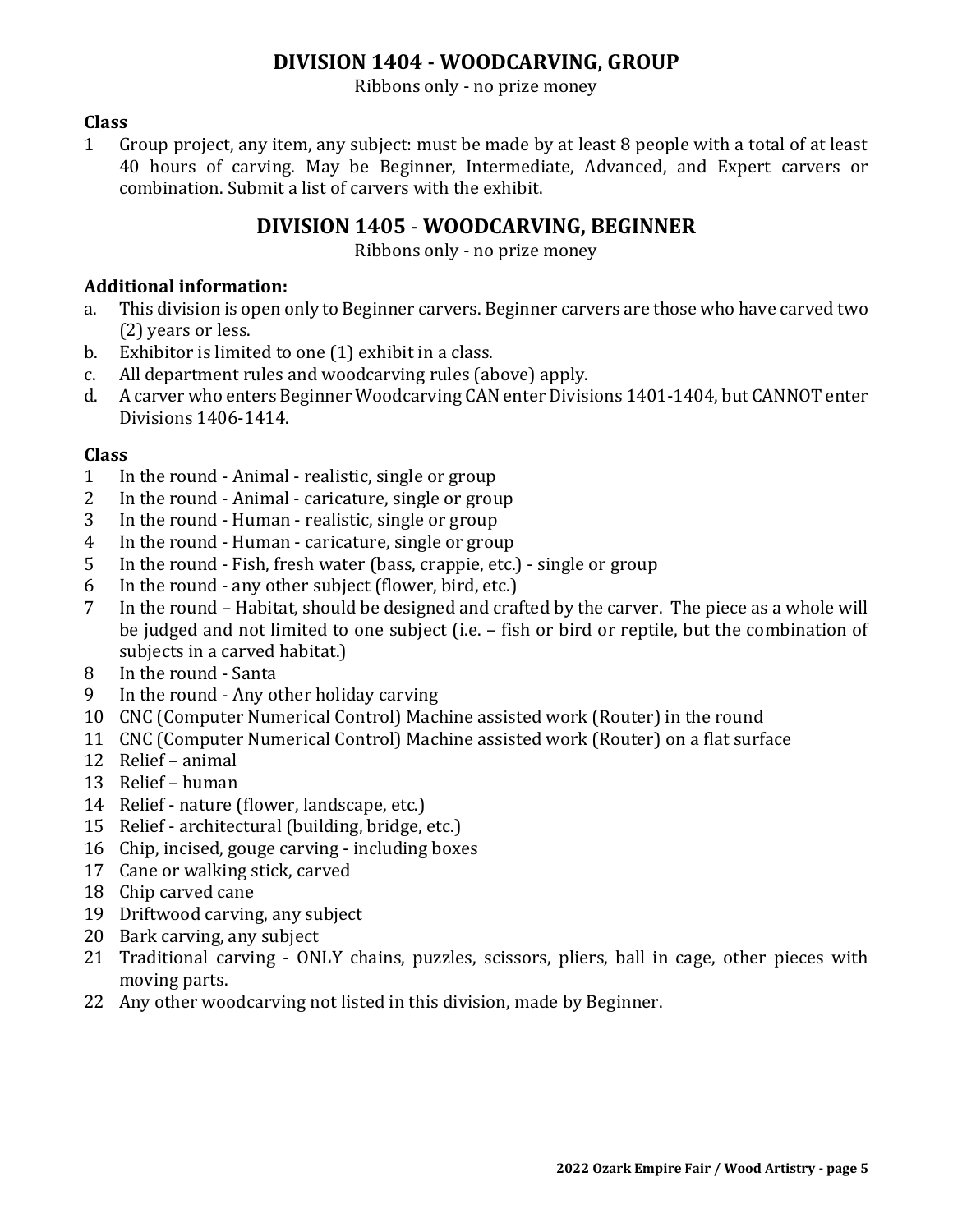# **DIVISION 1404 - WOODCARVING, GROUP**

Ribbons only - no prize money

### **Class**

1 Group project, any item, any subject: must be made by at least 8 people with a total of at least 40 hours of carving. May be Beginner, Intermediate, Advanced, and Expert carvers or combination. Submit a list of carvers with the exhibit.

# **DIVISION 1405** - **WOODCARVING, BEGINNER**

Ribbons only - no prize money

### **Additional information:**

- a. This division is open only to Beginner carvers. Beginner carvers are those who have carved two (2) years or less.
- b. Exhibitor is limited to one (1) exhibit in a class.
- c. All department rules and woodcarving rules (above) apply.
- d. A carver who enters Beginner Woodcarving CAN enter Divisions 1401-1404, but CANNOT enter Divisions 1406-1414.

- 1 In the round Animal realistic, single or group
- 2 In the round Animal caricature, single or group
- 3 In the round Human realistic, single or group
- 4 In the round Human caricature, single or group
- 5 In the round Fish, fresh water (bass, crappie, etc.) single or group
- 6 In the round any other subject (flower, bird, etc.)
- 7 In the round Habitat, should be designed and crafted by the carver. The piece as a whole will be judged and not limited to one subject (i.e. – fish or bird or reptile, but the combination of subjects in a carved habitat.)
- 8 In the round Santa
- 9 In the round Any other holiday carving
- 10 CNC (Computer Numerical Control) Machine assisted work (Router) in the round
- 11 CNC (Computer Numerical Control) Machine assisted work (Router) on a flat surface
- 12 Relief animal
- 13 Relief human
- 14 Relief nature (flower, landscape, etc.)
- 15 Relief architectural (building, bridge, etc.)
- 16 Chip, incised, gouge carving including boxes
- 17 Cane or walking stick, carved
- 18 Chip carved cane
- 19 Driftwood carving, any subject
- 20 Bark carving, any subject
- 21 Traditional carving ONLY chains, puzzles, scissors, pliers, ball in cage, other pieces with moving parts.
- 22 Any other woodcarving not listed in this division, made by Beginner.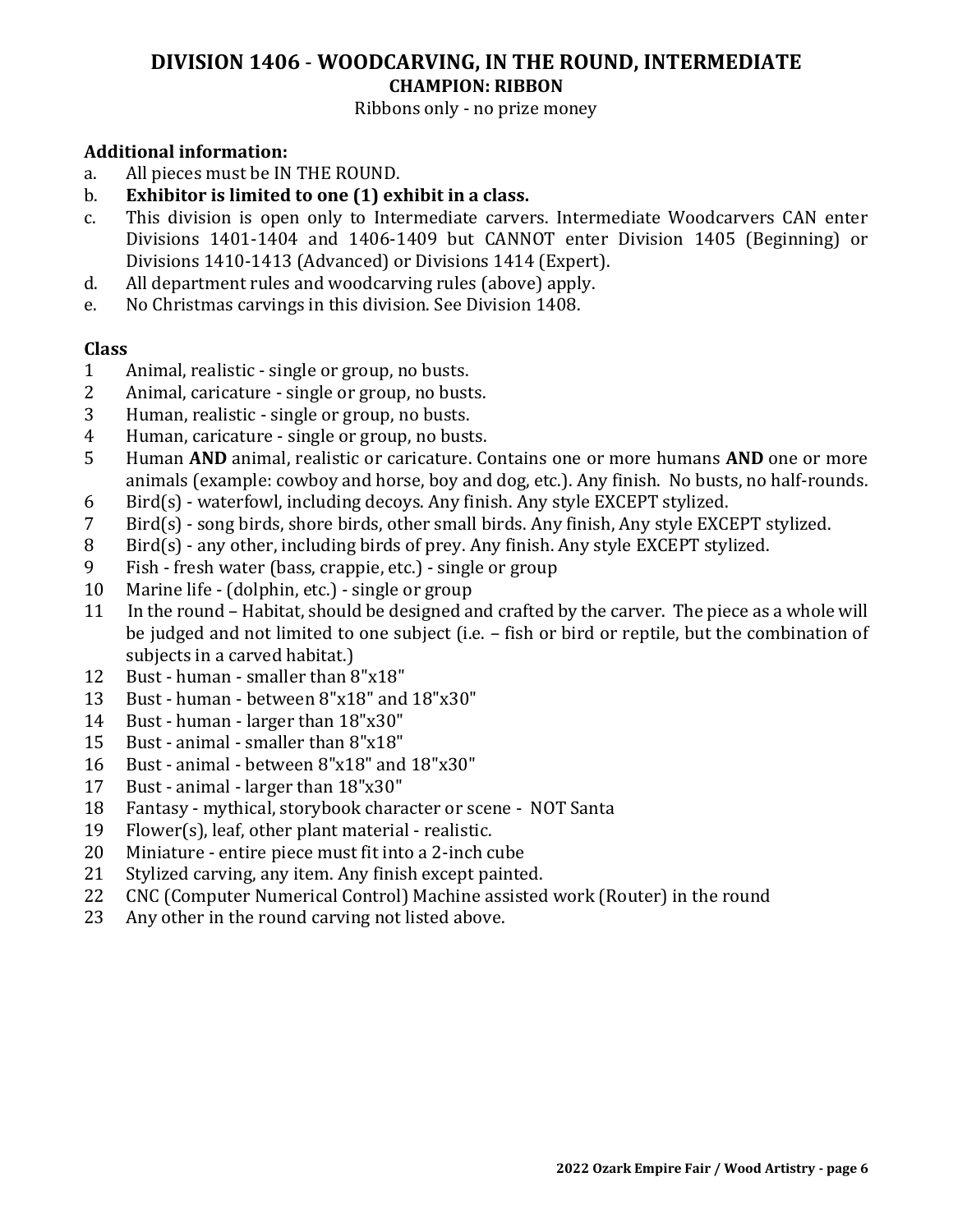# **DIVISION 1406** - **WOODCARVING, IN THE ROUND, INTERMEDIATE CHAMPION: RIBBON**

### Ribbons only - no prize money

### **Additional information:**

- a. All pieces must be IN THE ROUND.
- b. **Exhibitor is limited to one (1) exhibit in a class.**
- c. This division is open only to Intermediate carvers. Intermediate Woodcarvers CAN enter Divisions 1401-1404 and 1406-1409 but CANNOT enter Division 1405 (Beginning) or Divisions 1410-1413 (Advanced) or Divisions 1414 (Expert).
- d. All department rules and woodcarving rules (above) apply.
- e. No Christmas carvings in this division. See Division 1408.

- 1 Animal, realistic single or group, no busts.
- 2 Animal, caricature single or group, no busts.
- 3 Human, realistic single or group, no busts.
- 4 Human, caricature single or group, no busts.
- 5 Human **AND** animal, realistic or caricature. Contains one or more humans **AND** one or more animals (example: cowboy and horse, boy and dog, etc.). Any finish. No busts, no half-rounds.
- 6 Bird(s) waterfowl, including decoys. Any finish. Any style EXCEPT stylized.
- 7 Bird(s) song birds, shore birds, other small birds. Any finish, Any style EXCEPT stylized.
- 8 Bird(s) any other, including birds of prey. Any finish. Any style EXCEPT stylized.
- 9 Fish fresh water (bass, crappie, etc.) single or group
- 10 Marine life (dolphin, etc.) single or group
- 11 In the round Habitat, should be designed and crafted by the carver. The piece as a whole will be judged and not limited to one subject (i.e. – fish or bird or reptile, but the combination of subjects in a carved habitat.)
- 12 Bust human smaller than 8"x18"
- 13 Bust human between 8"x18" and 18"x30"
- 14 Bust human larger than 18"x30"
- 15 Bust animal smaller than 8"x18"
- 16 Bust animal between 8"x18" and 18"x30"
- 17 Bust animal larger than 18"x30"
- 18 Fantasy mythical, storybook character or scene NOT Santa
- 19 Flower(s), leaf, other plant material realistic.
- 20 Miniature entire piece must fit into a 2-inch cube
- 21 Stylized carving, any item. Any finish except painted.
- 22 CNC (Computer Numerical Control) Machine assisted work (Router) in the round
- 23 Any other in the round carving not listed above.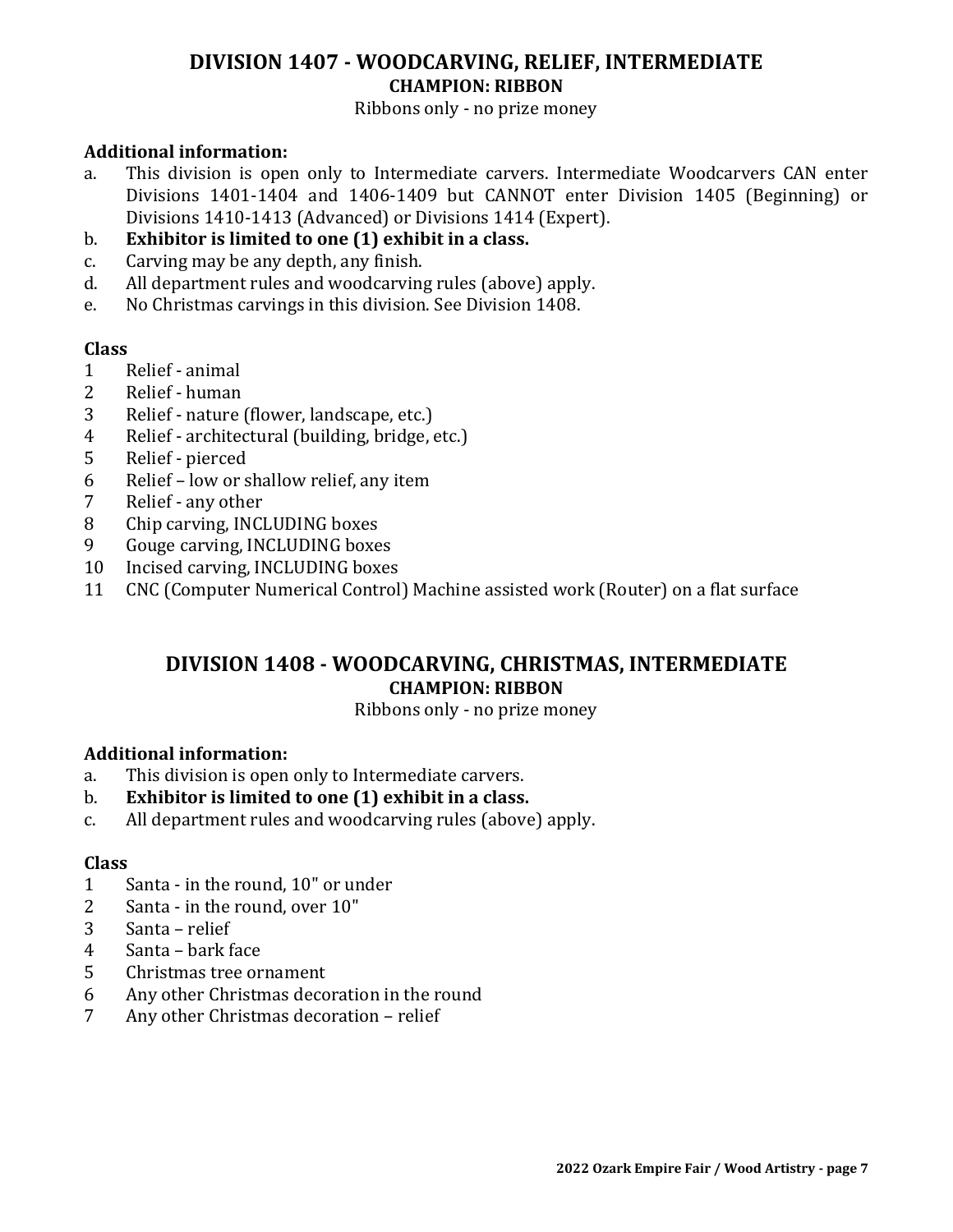# **DIVISION 1407 - WOODCARVING, RELIEF, INTERMEDIATE CHAMPION: RIBBON**

Ribbons only - no prize money

### **Additional information:**

- a. This division is open only to Intermediate carvers. Intermediate Woodcarvers CAN enter Divisions 1401-1404 and 1406-1409 but CANNOT enter Division 1405 (Beginning) or Divisions 1410-1413 (Advanced) or Divisions 1414 (Expert).
- b. **Exhibitor is limited to one (1) exhibit in a class.**
- c. Carving may be any depth, any finish.
- d. All department rules and woodcarving rules (above) apply.
- e. No Christmas carvings in this division. See Division 1408.

### **Class**

- 1 Relief animal
- 2 Relief human
- 3 Relief nature (flower, landscape, etc.)
- 4 Relief architectural (building, bridge, etc.)
- 5 Relief pierced
- 6 Relief low or shallow relief, any item
- 7 Relief any other
- 8 Chip carving, INCLUDING boxes
- 9 Gouge carving, INCLUDING boxes
- 10 Incised carving, INCLUDING boxes
- 11 CNC (Computer Numerical Control) Machine assisted work (Router) on a flat surface

# **DIVISION 1408 - WOODCARVING, CHRISTMAS, INTERMEDIATE CHAMPION: RIBBON**

#### Ribbons only - no prize money

### **Additional information:**

- a. This division is open only to Intermediate carvers.
- b. **Exhibitor is limited to one (1) exhibit in a class.**
- c. All department rules and woodcarving rules (above) apply.

- 1 Santa in the round, 10" or under
- 2 Santa in the round, over 10"
- 3 Santa relief
- 4 Santa bark face
- 5 Christmas tree ornament
- 6 Any other Christmas decoration in the round
- 7 Any other Christmas decoration relief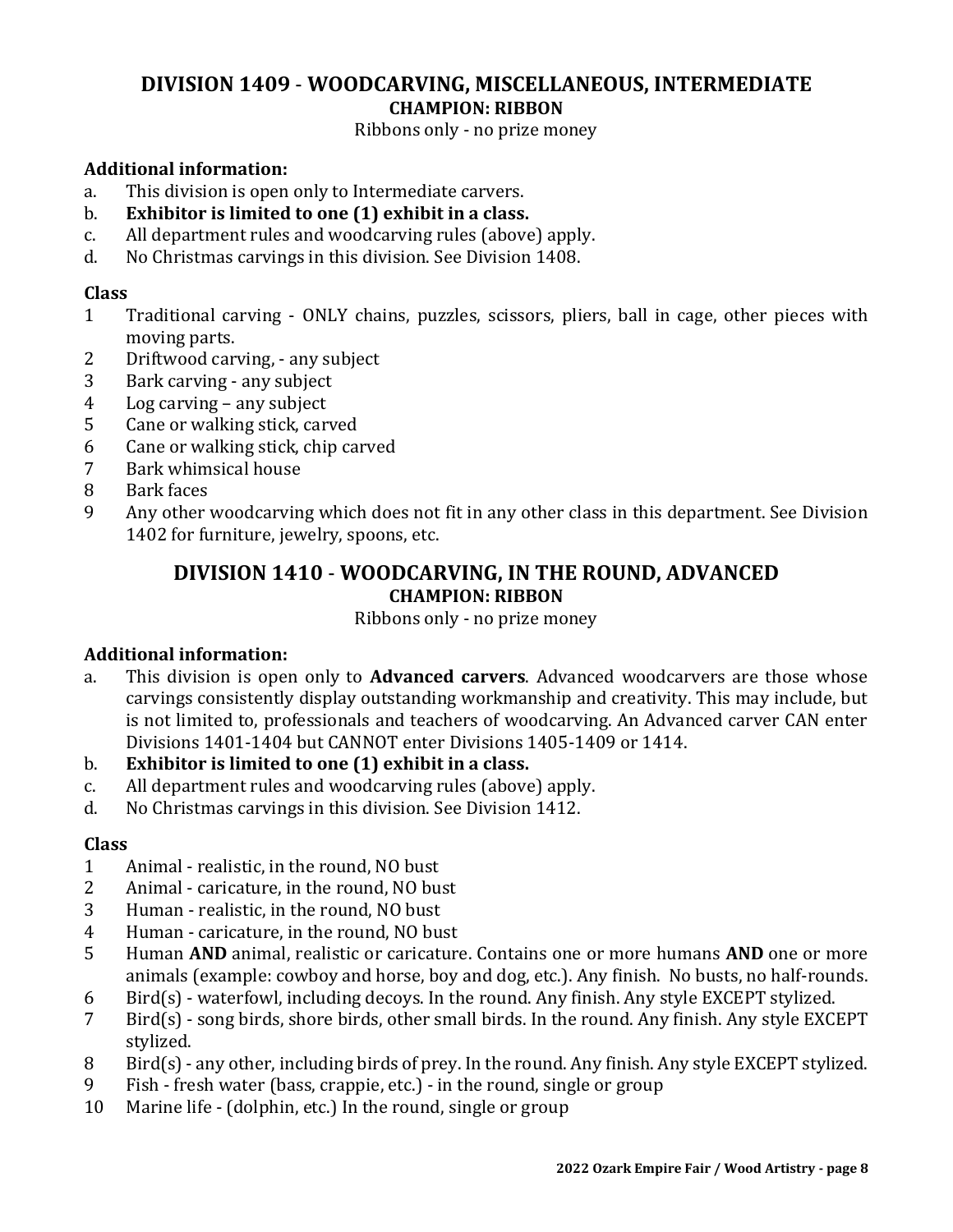# **DIVISION 1409** - **WOODCARVING, MISCELLANEOUS, INTERMEDIATE CHAMPION: RIBBON**

Ribbons only - no prize money

### **Additional information:**

- a. This division is open only to Intermediate carvers.
- b. **Exhibitor is limited to one (1) exhibit in a class.**
- c. All department rules and woodcarving rules (above) apply.
- d. No Christmas carvings in this division. See Division 1408.

### **Class**

- 1 Traditional carving ONLY chains, puzzles, scissors, pliers, ball in cage, other pieces with moving parts.
- 2 Driftwood carving, any subject
- 3 Bark carving any subject
- 4 Log carving any subject
- 5 Cane or walking stick, carved
- 6 Cane or walking stick, chip carved
- 7 Bark whimsical house
- 8 Bark faces
- 9 Any other woodcarving which does not fit in any other class in this department. See Division 1402 for furniture, jewelry, spoons, etc.

# **DIVISION 1410** - **WOODCARVING, IN THE ROUND, ADVANCED CHAMPION: RIBBON**

Ribbons only - no prize money

# **Additional information:**

- a. This division is open only to **Advanced carvers**. Advanced woodcarvers are those whose carvings consistently display outstanding workmanship and creativity. This may include, but is not limited to, professionals and teachers of woodcarving. An Advanced carver CAN enter Divisions 1401-1404 but CANNOT enter Divisions 1405-1409 or 1414.
- b. **Exhibitor is limited to one (1) exhibit in a class.**
- c. All department rules and woodcarving rules (above) apply.
- d. No Christmas carvings in this division. See Division 1412.

- 1 Animal realistic, in the round, NO bust
- 2 Animal caricature, in the round, NO bust
- 3 Human realistic, in the round, NO bust
- 4 Human caricature, in the round, NO bust
- 5 Human **AND** animal, realistic or caricature. Contains one or more humans **AND** one or more animals (example: cowboy and horse, boy and dog, etc.). Any finish. No busts, no half-rounds.
- 6 Bird(s) waterfowl, including decoys. In the round. Any finish. Any style EXCEPT stylized.
- 7 Bird(s) song birds, shore birds, other small birds. In the round. Any finish. Any style EXCEPT stylized.
- 8 Bird(s) any other, including birds of prey. In the round. Any finish. Any style EXCEPT stylized.
- 9 Fish fresh water (bass, crappie, etc.) in the round, single or group
- 10 Marine life (dolphin, etc.) In the round, single or group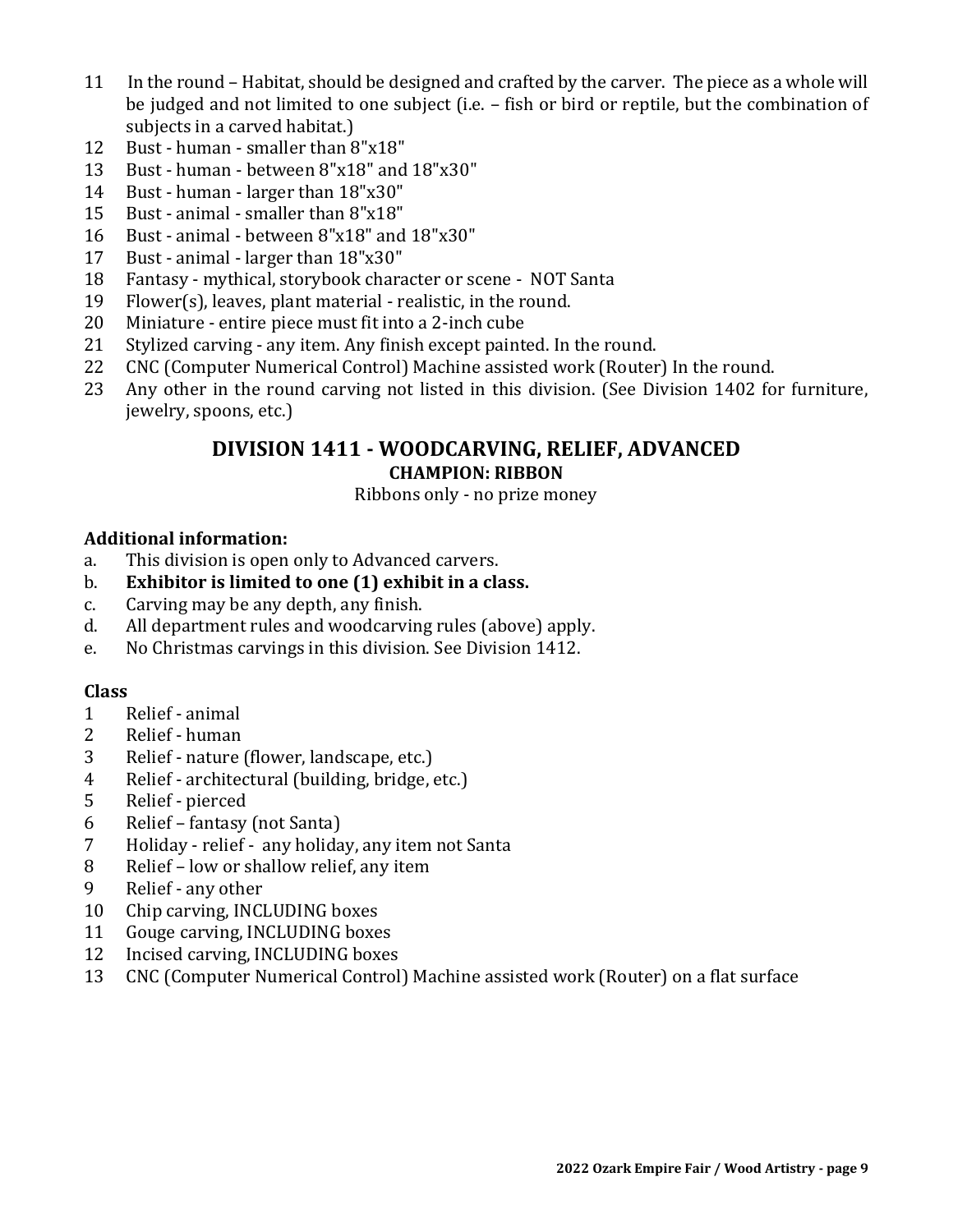- 11 In the round Habitat, should be designed and crafted by the carver. The piece as a whole will be judged and not limited to one subject (i.e. – fish or bird or reptile, but the combination of subjects in a carved habitat.)
- Bust human smaller than 8"x18"
- Bust human between 8"x18" and 18"x30"
- Bust human larger than 18"x30"
- Bust animal smaller than 8"x18"
- Bust animal between 8"x18" and 18"x30"
- Bust animal larger than 18"x30"
- Fantasy mythical, storybook character or scene NOT Santa
- Flower(s), leaves, plant material realistic, in the round.
- Miniature entire piece must fit into a 2-inch cube
- Stylized carving any item. Any finish except painted. In the round.
- CNC (Computer Numerical Control) Machine assisted work (Router) In the round.
- Any other in the round carving not listed in this division. (See Division 1402 for furniture, jewelry, spoons, etc.)

# **DIVISION 1411 - WOODCARVING, RELIEF, ADVANCED CHAMPION: RIBBON**

### Ribbons only - no prize money

### **Additional information:**

- a. This division is open only to Advanced carvers.
- b. **Exhibitor is limited to one (1) exhibit in a class.**
- c. Carving may be any depth, any finish.
- d. All department rules and woodcarving rules (above) apply.
- e. No Christmas carvings in this division. See Division 1412.

- Relief animal
- Relief human
- Relief nature (flower, landscape, etc.)
- Relief architectural (building, bridge, etc.)
- Relief pierced
- Relief fantasy (not Santa)
- Holiday relief any holiday, any item not Santa
- Relief low or shallow relief, any item
- Relief any other
- Chip carving, INCLUDING boxes
- Gouge carving, INCLUDING boxes
- Incised carving, INCLUDING boxes
- CNC (Computer Numerical Control) Machine assisted work (Router) on a flat surface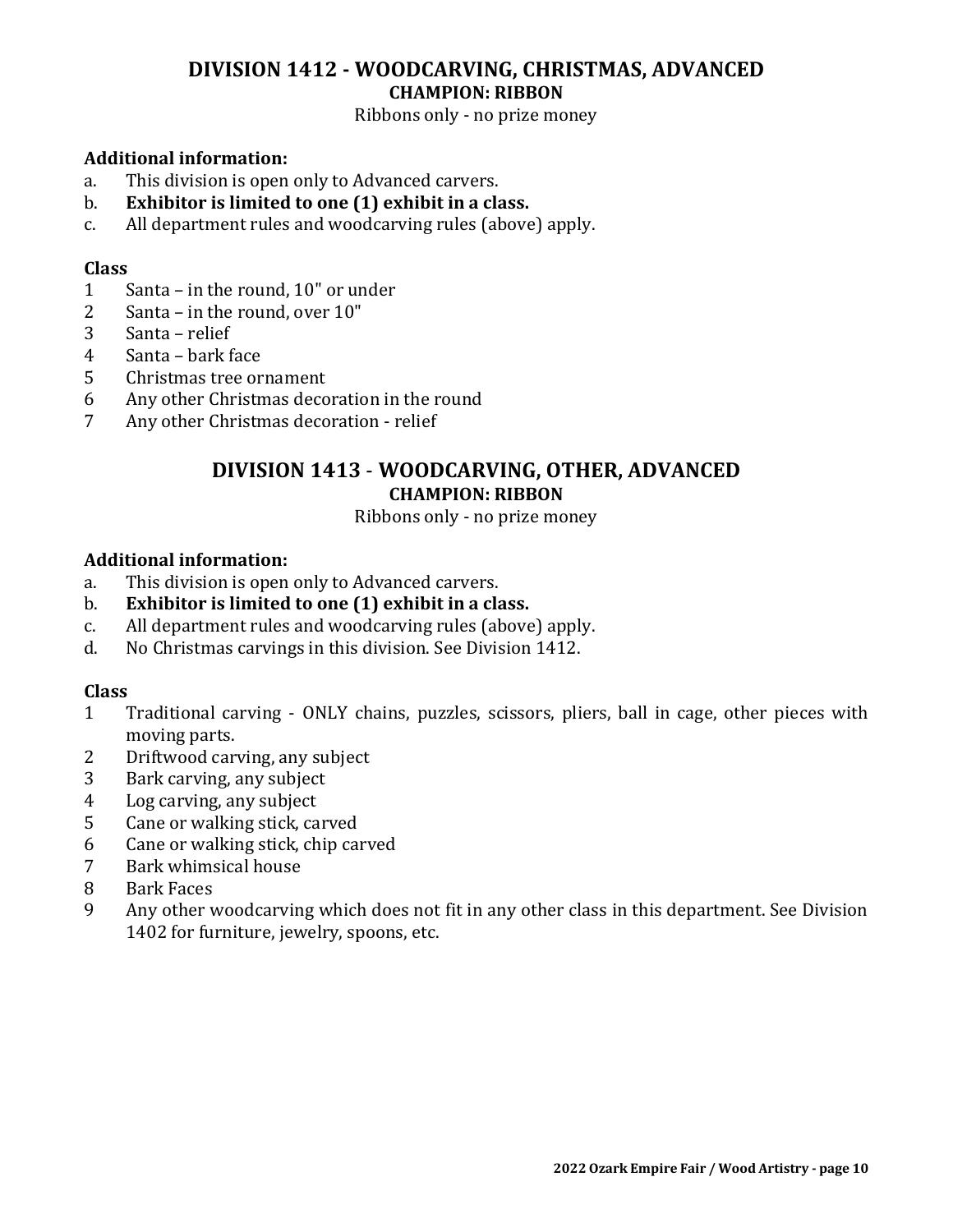# **DIVISION 1412 - WOODCARVING, CHRISTMAS, ADVANCED CHAMPION: RIBBON**

Ribbons only - no prize money

### **Additional information:**

- a. This division is open only to Advanced carvers.
- b. **Exhibitor is limited to one (1) exhibit in a class.**
- c. All department rules and woodcarving rules (above) apply.

#### **Class**

- 1 Santa in the round, 10" or under
- 2 Santa in the round, over 10"
- 3 Santa relief
- 4 Santa bark face
- 5 Christmas tree ornament
- 6 Any other Christmas decoration in the round
- 7 Any other Christmas decoration relief

# **DIVISION 1413** - **WOODCARVING, OTHER, ADVANCED CHAMPION: RIBBON**

Ribbons only - no prize money

#### **Additional information:**

- a. This division is open only to Advanced carvers.
- b. **Exhibitor is limited to one (1) exhibit in a class.**
- c. All department rules and woodcarving rules (above) apply.
- d. No Christmas carvings in this division. See Division 1412.

- 1 Traditional carving ONLY chains, puzzles, scissors, pliers, ball in cage, other pieces with moving parts.
- 2 Driftwood carving, any subject
- 3 Bark carving, any subject
- 4 Log carving, any subject
- 5 Cane or walking stick, carved
- 6 Cane or walking stick, chip carved
- 7 Bark whimsical house
- 8 Bark Faces
- 9 Any other woodcarving which does not fit in any other class in this department. See Division 1402 for furniture, jewelry, spoons, etc.